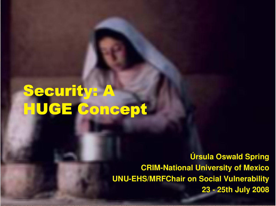# **Security: A** HUGE Concept

**Úrsula Oswald Spring CRIM-National University of Mexico UNU-EHS/MRFChair on Social Vulnerability 23 - 25th July 2008**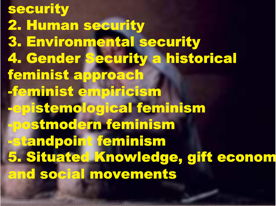security 2. Human security 3. Environmental security 4. Gender Security a historical feminist approach -feminist empiricism **Eepistemological feminism Epostmodern feminism Etandpoint feminism 5. Situated Knowledge, gift econom** and social movements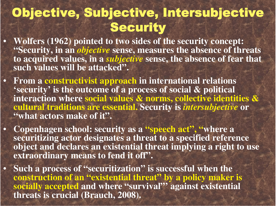### **Objective, Subjective, Intersubjective** Security

Wolfers (1962) pointed to two sides of the security concept: **"**"Security, in an *objective* sense, measures the absence of threats to acquired values, in a *subjective* sense, the absence of fear that **s uc hval ue s wi l l be at t ac ke d".**

 $\bullet$ 

 $\bullet$ 

 $\bullet$ 

 $\bullet$ 

- From a constructivist approach in international relations 'security' is the outcome of a process of social  $\boldsymbol{\&}$  political interaction where social values  $\boldsymbol{\&}$  norms, collective identities  $\boldsymbol{\&}$ cultural traditions are essential. Security is *intersubjective* or **"''what actors make of it''.**
- **Copenhagen school: security as a "''speech act'', ''where a** securitizing actor designates a threat to a specified reference object and declares an existential threat implying a right to use extraordinary means to fend it off".
- **S u c h a p r o c e s s o f "''securitization "** $\boldsymbol{v}$  is successful when the construction of an **"***<b>:***existential threat "** $^{\prime\prime}$  by a policy maker is socially accepted and where **"'survival**  $^{\prime\prime}$  against existential threats is crucial (Brauch, 2008).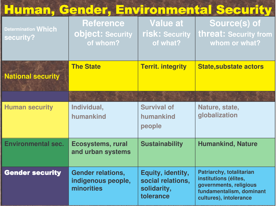### Human, Gender, Environmental Security

| <b>Determination Which</b><br>security? | <b>Reference</b><br>object: Security<br>of whom?             | <b>Value at</b><br>risk: Security<br>of what?                      | Source(s) of<br>threat: Security from<br>whom or what?                                                                                   |
|-----------------------------------------|--------------------------------------------------------------|--------------------------------------------------------------------|------------------------------------------------------------------------------------------------------------------------------------------|
| <b>National security</b>                | <b>The State</b>                                             | <b>Territ. integrity</b>                                           | <b>State, substate actors</b>                                                                                                            |
|                                         |                                                              |                                                                    |                                                                                                                                          |
| <b>Human security</b>                   | Individual,<br>humankind                                     | <b>Survival of</b><br>humankind<br>people                          | Nature, state,<br>globalization                                                                                                          |
| <b>Environmental sec.</b>               | <b>Ecosystems, rural</b><br>and urban systems                | <b>Sustainability</b>                                              | <b>Humankind, Nature</b>                                                                                                                 |
| <b>Gender security</b>                  | <b>Gender relations,</b><br>indigenous people,<br>minorities | Equity, identity,<br>social relations,<br>solidarity,<br>tolerance | <b>Patriarchy, totalitarian</b><br>institutions (élites,<br>governments, religious<br>fundamentalism, dominant<br>cultures), intolerance |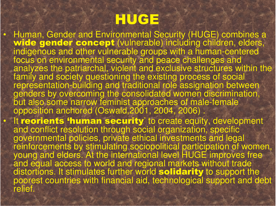## HUGE

 $\bullet$ 

 $\bullet$ 

Human, Gender and Environmental Security (HUGE) combines a wide gender concept (vulnerable) including children, elders, indigenous and other vulnerable groups with a human-centered focus on environmental security and peace challenges and analyzes the patriarchal, violent and exclusive structures within the family and society questioning the existing process of social representation-building and traditional role assignation between genders by overcoming the consolidated women discrimination, but also some narrow feminist approaches of male-female opposition anchored (Oswald,2001, 2004, 2006) . • It reorients  $\mathbf{r}$ "human security' to create equity, development and conflict resolution through social organization, specific governmental policies, private ethical investments and legal reinforcements by stimulating sociopolitical participation of women, young and elders. At the international level HUGE improves free and equal access to world and regional markets without trade distortions. It stimulates further world solidarity to support the poorest countries with financial aid, technological support and debt relief.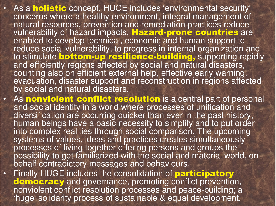As a **holistic** concept, HUGE includes 'environmental security' concerns where a healthy environment, integral management of natural resources, prevention and remediation practices reduce vulnerability of hazard impacts. Hazard-prone countries are enabled to develop technical, economic and human support to reduce social vulnerability, to progress in internal organization and<br>to stimulate bottom-up resilience-building, supporting rapidly and efficiently regions affected by social and natural disasters, counting also on efficient external help, effective early warning, evacuation, disaster support and reconstruction in regions affected by social and natural disasters.

•

•

•

- As nonviolent conflict resolution is a central part of personal and social identity in a world where processes of unification and diversification are occurring quicker than ever in the past history, human beings have a basic necessity to simplify and to put order into complex realities through social comparison. The upcoming systems of values, ideas and practices creates simultaneously processes of living together offering persons and groups the possibility to get familiarized with the social and material world, on behalf contradictory messages and behaviours.
- Finally HUGE includes the consolidation of **participatory** democracy and governance, promoting conflict prevention, nonviolent conflict resolution processes and peace-building; a 'huge' solidarity process of sustainable & equal development.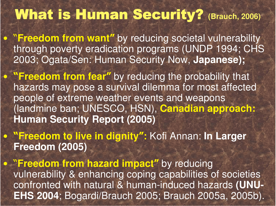### **What is Human Security?** (Brauch, 2006)

**• "Freedom from want"** by reducing societal vulnerability through poverty eradication programs (UNDP 1994; CHS 2003; Ogata/Sen: Human Security Now, **Japanese);**

**• "Freedom from fear"** by reducing the probability that hazards may pose <sup>a</sup> survival dilemma for most affected people of extreme weather events and weapons (landmine ban; UNESCO, HSN), **Canadian approach: Human Security Report (2005)**

 -**Freedom to live in dignity:** Kofi Annan: **In Larger Freedom (2005)**

**• "Freedom from hazard impact"** by reducing vulnerability & enhancing coping capabilities of societies confronted with natural & human-induced hazards **(UNU-EHS 2004**; Bogardi/Brauch 2005; Brauch 2005a, 2005b).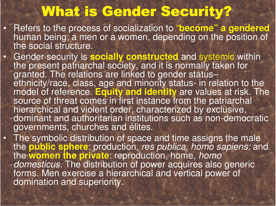### What is Gender Security?

•

•

•

- Refers to the process of socialization to ""become **"**" a gendered human being; a men or a women, depending on the position of the social structure.
- Gender security is socially constructed and systemic within<br>the present patriarchal society, and it is normally taken for granted. The relations are linked to gender status– ethnicity/race, class, age and minority status- in relation to the model of reference. Equity and identity are values at risk. The source of threat comes in first instance from the patriarchal hierarchical and violent order, characterized by exclusive, dominant and authoritarian institutions such as non-democratic governments, churches and élites.
- The symbolic distribution of space and time assigns the male the **public sphere**: production, *res publica, homo sapiens;* and the **women the private**: reproduction, home, *homo domesticus.* The distribution of power acquires also generic forms. Men exercise a hierarchical and vertical power of domination and superiority.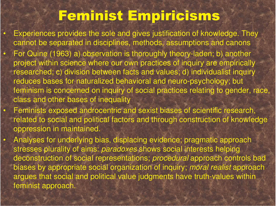### <u>Feminist Empiricisms</u>

 $\bullet$ 

 $\bullet$ 

 $\bullet$ 

 $\bullet$ 

 Experiences provides the sole and gives justification of knowledge. They cannot be separated in disciplines, methods, assumptions and canons For Quine (1963) a) observation is thoroughly theory-laden; b) another project within science where our own practices of inquiry are empirically researched; c) division between facts and values; d) individualist inquiry reduces bases for naturalized behavioral and neuro-psychology; but feminism is concerned on inquiry of social practices relating to gender, race, class and other bases of inequality

- Feminists exposed androcentric and sexist biases of scientific research, related to social and political factors and through construction of knowledge oppression in maintained.
	- Analyses for underlying bias, displacing evidence; pragmatic approach stresses plurality of aims: *paradoxes* shows social interests helping deconstruction of social representations; *procedural* approach controls bad biases by appropriate social organization of inquiry; *moral realist* approach argues that social and political value judgments have truth-values within feminist approach.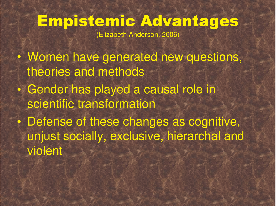## Empistemic Advantages

(Elizabeth Anderson, 2006)

 $\bullet$  Women have generated new questions, theories and methods  $\bullet$ • Gender has played a causal role in scientific transformation  $\bullet$  Defense of these changes as cognitive, unjust socially, exclusive, hierarchal and violent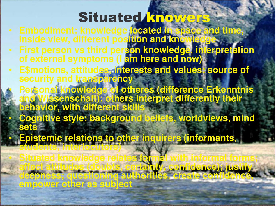## Situated **knowers**

- Embodiment: knowledge located in space and time, inside view, different pos<mark>ition and knowledg</mark> **e**
- First person vs third person knowledge, interpretation of external symptoms (I am here and now)
- E\$motions, attitudes, interests and values: source of security and transparency

•

 $\bullet$ 

 $\bullet$ 

- **Personal knowledge of otheres (difference Erkenntnis** and Wissenschaft): others interpret differently their **behavior, with different skills**
- Cognitive style: background beliefs, worldviews, mind **set s**
- **Epistemic relations to other inquirers (informants, st udent s, in t erlocut ors)**
- **Sit ukwleelaesforal wit fral f s;** affect attitudes (doubts, certainty, confidence); justify deepness; questioning authorities, create confidence, empower other as subject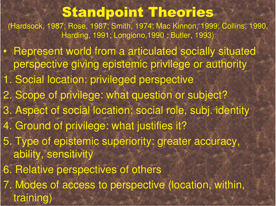### **Standpoint Theories**

(Hardsock, 1987; Rose, 1987; Smith, 1974; Mac Kinnon, 1999; Collins, 1990, Harding, 1991; Longiono,1990 ; Butler, 1993)

- Represent world from <sup>a</sup> articulated socially situated perspective giving epistemic privilege or authority
- 1. Social location: privileged perspective
- 2. Scope of privilege: what question or subject?
- 3. Aspect of social location: social role, subj. identity
- 4. Ground of privilege: what justifies it?
- 5. Type of epistemic superiority: greater accuracy, ability, sensitivity
- 6. Relative perspectives of others
	- 7. Modes of access to perspective (location, within, training)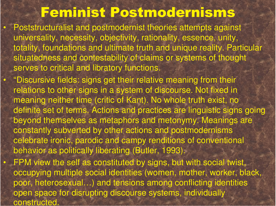#### Feminist Postmodernisms

 $\bullet$ 

 $\bullet$ 

 $\bullet$ 

 Poststructuralist and postmodernist theories attempts against universality, necessity, objectivity, rationality, essence, unity, totality, foundations and ultimate truth and unique reality. Particular situatedness and contestability of claims or systems of thought serves to critical and libratory functions.

"Discursive fields: signs get their relative meaning from their relations to other signs in <sup>a</sup> system of discourse. Not fixed in meaning neither time (critic of Kant). No whole truth exist, no definite set of terms. Actions and practices are linguistic signs going beyond themselves as metaphors and metonymy. Meanings are constantly subverted by other actions and postmodernisms celebrate ironic, parodic and campy renditions of conventional behavior as politically liberating (Butler, 1993). FPM view the self as constituted by signs, but with social twist, occupying multiple social identities (women, mother, worker, black, poor, heterosexual…) and tensions among conflicting identities

open space for disrupting discourse systems, individually constructed.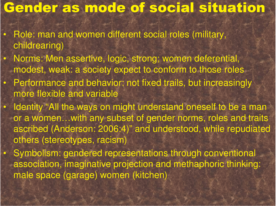#### **Gender as mode of social situation**

• Role: man and women different social roles (military, childrearing)

 $\bullet$ 

 $\bullet$ 

 $\bullet$ 

 $\bullet$ 

 $\bullet$ 

- Norms: Men assertive, logic, strong; women deferential, modest, weak: <sup>a</sup> society expect to conform to those roles
- Performance and behavior: not fixed trails, but increasingly more flexible and variable
	- Identity "All the ways on might understand oneself to be a man or a women…with any subset of gender norms, roles and traits ascribed (Anderson: 2006:4)" and understood, while repudiated others (stereotypes, racism)
	- Symbolism: gendered representations through conventional association, imaginative projection and methaphoric thinking: male space (garage) women (kitchen)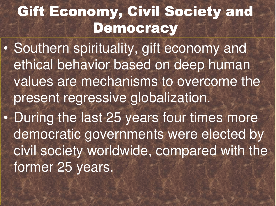# **Gift Economy, Civil Society and** Democracy

 $\bullet$  Southern spirituality, gift economy and ethical behavior based on deep human values are mechanisms to overcome the present regressive globalization.  $\bullet$  During the last 25 years four times more democratic governments were elected by civil society worldwide, compared with the former 25 years.